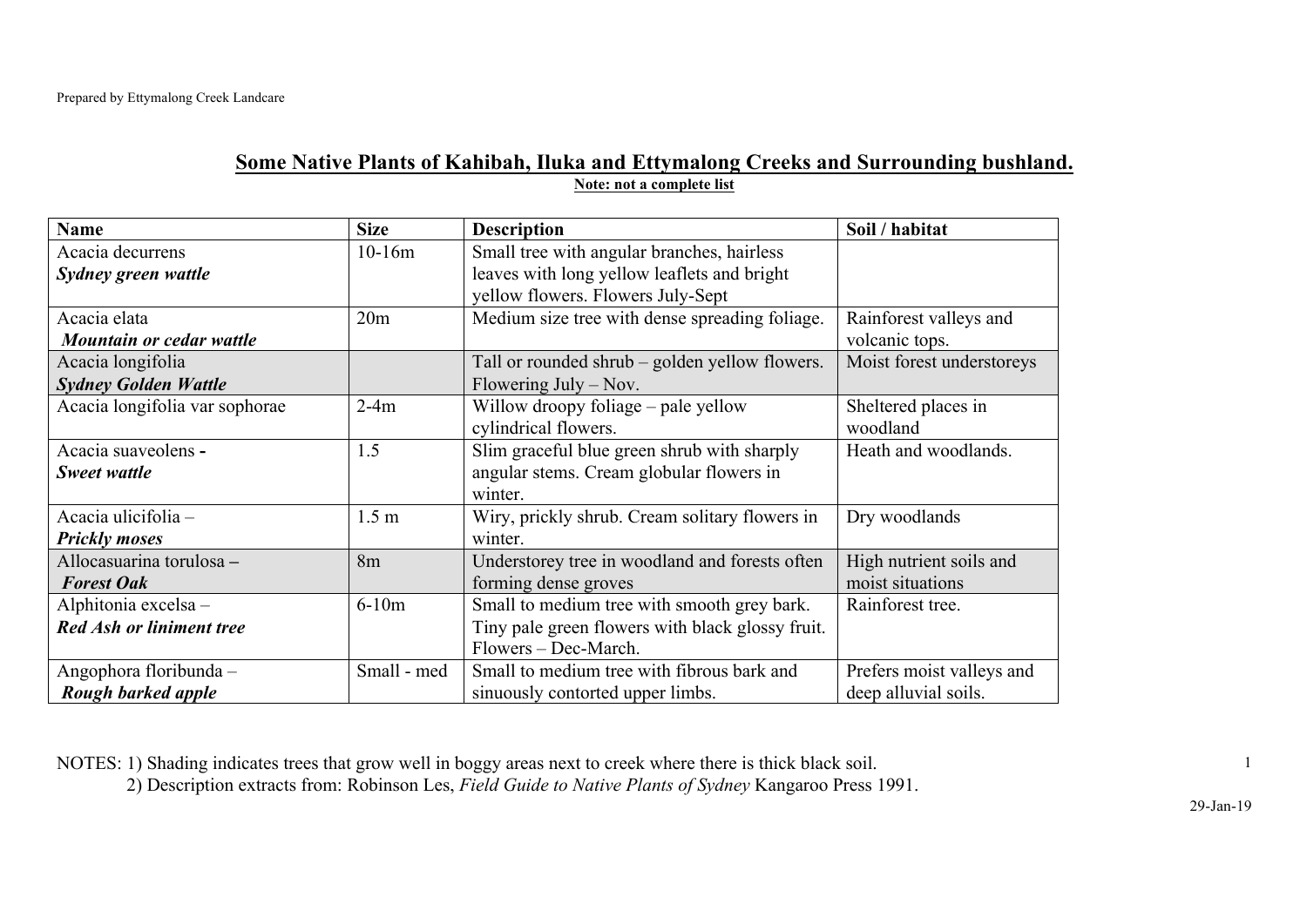## **Some Native Plants of Kahibah, Iluka and Ettymalong Creeks and Surrounding bushland. Note: not a complete list**

| <b>Name</b>                     | <b>Size</b>      | <b>Description</b>                               | Soil / habitat            |
|---------------------------------|------------------|--------------------------------------------------|---------------------------|
| Acacia decurrens                | $10-16m$         | Small tree with angular branches, hairless       |                           |
| Sydney green wattle             |                  | leaves with long yellow leaflets and bright      |                           |
|                                 |                  | yellow flowers. Flowers July-Sept                |                           |
| Acacia elata                    | 20 <sub>m</sub>  | Medium size tree with dense spreading foliage.   | Rainforest valleys and    |
| Mountain or cedar wattle        |                  |                                                  | volcanic tops.            |
| Acacia longifolia               |                  | Tall or rounded shrub – golden yellow flowers.   | Moist forest understoreys |
| <b>Sydney Golden Wattle</b>     |                  | Flowering July $-$ Nov.                          |                           |
| Acacia longifolia var sophorae  | $2-4m$           | Willow droopy foliage – pale yellow              | Sheltered places in       |
|                                 |                  | cylindrical flowers.                             | woodland                  |
| Acacia suaveolens -             | 1.5              | Slim graceful blue green shrub with sharply      | Heath and woodlands.      |
| Sweet wattle                    |                  | angular stems. Cream globular flowers in         |                           |
|                                 |                  | winter.                                          |                           |
| Acacia ulicifolia -             | 1.5 <sub>m</sub> | Wiry, prickly shrub. Cream solitary flowers in   | Dry woodlands             |
| <b>Prickly moses</b>            |                  | winter.                                          |                           |
| Allocasuarina torulosa -        | 8m               | Understorey tree in woodland and forests often   | High nutrient soils and   |
| <b>Forest Oak</b>               |                  | forming dense groves                             | moist situations          |
| Alphitonia excelsa -            | $6-10m$          | Small to medium tree with smooth grey bark.      | Rainforest tree.          |
| <b>Red Ash or liniment tree</b> |                  | Tiny pale green flowers with black glossy fruit. |                           |
|                                 |                  | Flowers - Dec-March.                             |                           |
| Angophora floribunda -          | Small - med      | Small to medium tree with fibrous bark and       | Prefers moist valleys and |
| Rough barked apple              |                  | sinuously contorted upper limbs.                 | deep alluvial soils.      |

NOTES: 1) Shading indicates trees that grow well in boggy areas next to creek where there is thick black soil.

2) Description extracts from: Robinson Les, *Field Guide to Native Plants of Sydney* Kangaroo Press 1991.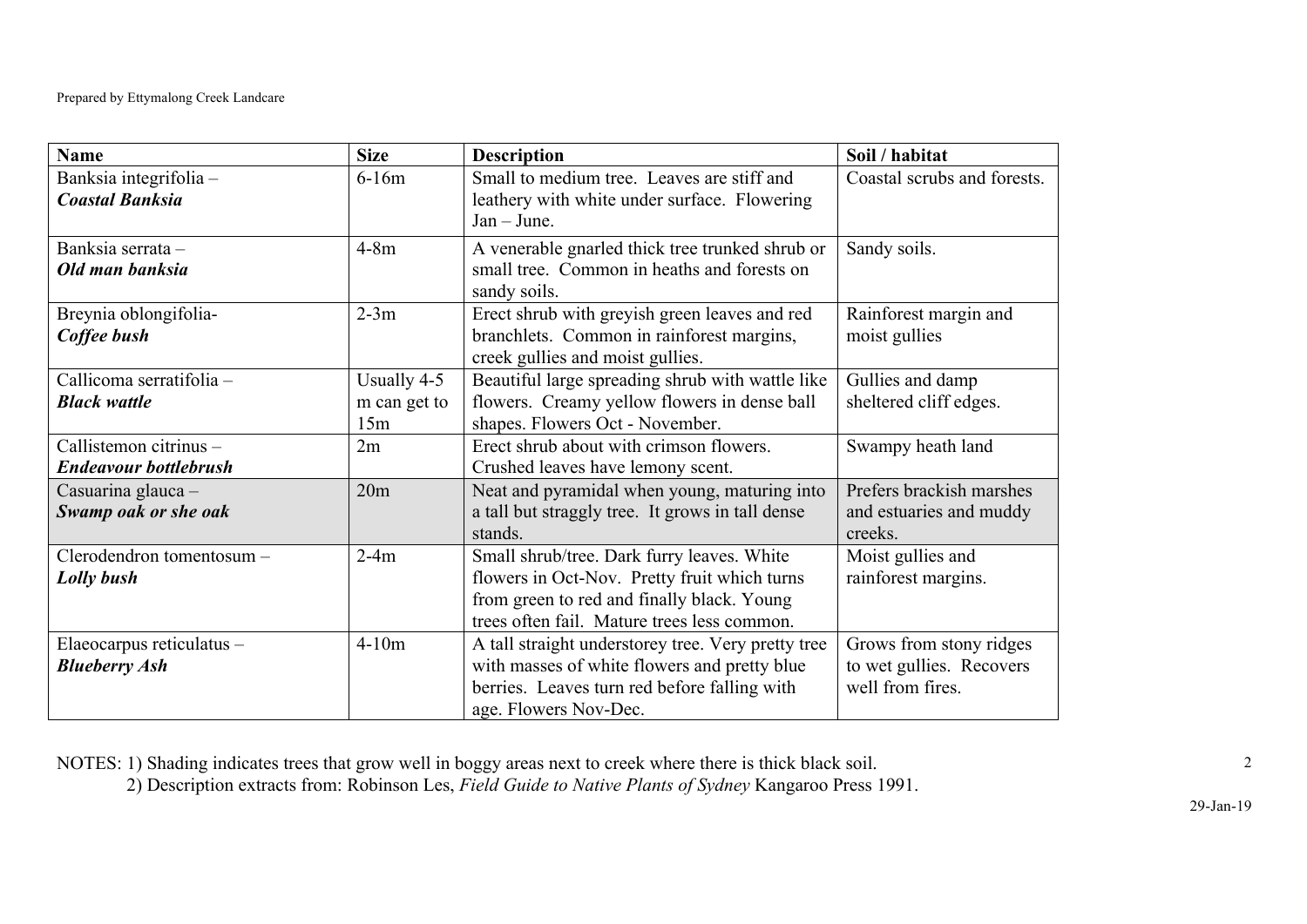| <b>Name</b>                                            | <b>Size</b>                        | <b>Description</b>                                                                                                                                                                      | Soil / habitat                                                          |
|--------------------------------------------------------|------------------------------------|-----------------------------------------------------------------------------------------------------------------------------------------------------------------------------------------|-------------------------------------------------------------------------|
| Banksia integrifolia-<br><b>Coastal Banksia</b>        | $6-16m$                            | Small to medium tree. Leaves are stiff and<br>leathery with white under surface. Flowering<br>$Jan - June.$                                                                             | Coastal scrubs and forests.                                             |
| Banksia serrata -<br>Old man banksia                   | $4-8m$                             | A venerable gnarled thick tree trunked shrub or<br>small tree. Common in heaths and forests on<br>sandy soils.                                                                          | Sandy soils.                                                            |
| Breynia oblongifolia-<br>Coffee bush                   | $2-3m$                             | Erect shrub with greyish green leaves and red<br>branchlets. Common in rainforest margins,<br>creek gullies and moist gullies.                                                          | Rainforest margin and<br>moist gullies                                  |
| Callicoma serratifolia -<br><b>Black wattle</b>        | Usually 4-5<br>m can get to<br>15m | Beautiful large spreading shrub with wattle like<br>flowers. Creamy yellow flowers in dense ball<br>shapes. Flowers Oct - November.                                                     | Gullies and damp<br>sheltered cliff edges.                              |
| Callistemon citrinus -<br><b>Endeavour bottlebrush</b> | 2m                                 | Erect shrub about with crimson flowers.<br>Crushed leaves have lemony scent.                                                                                                            | Swampy heath land                                                       |
| Casuarina glauca -<br>Swamp oak or she oak             | 20m                                | Neat and pyramidal when young, maturing into<br>a tall but straggly tree. It grows in tall dense<br>stands.                                                                             | Prefers brackish marshes<br>and estuaries and muddy<br>creeks.          |
| Clerodendron tomentosum -<br>Lolly bush                | $2-4m$                             | Small shrub/tree. Dark furry leaves. White<br>flowers in Oct-Nov. Pretty fruit which turns<br>from green to red and finally black. Young<br>trees often fail. Mature trees less common. | Moist gullies and<br>rainforest margins.                                |
| Elaeocarpus reticulatus -<br><b>Blueberry Ash</b>      | $4-10m$                            | A tall straight understorey tree. Very pretty tree<br>with masses of white flowers and pretty blue<br>berries. Leaves turn red before falling with<br>age. Flowers Nov-Dec.             | Grows from stony ridges<br>to wet gullies. Recovers<br>well from fires. |

NOTES: 1) Shading indicates trees that grow well in boggy areas next to creek where there is thick black soil.

2) Description extracts from: Robinson Les, *Field Guide to Native Plants of Sydney* Kangaroo Press 1991.

2

29-Jan-19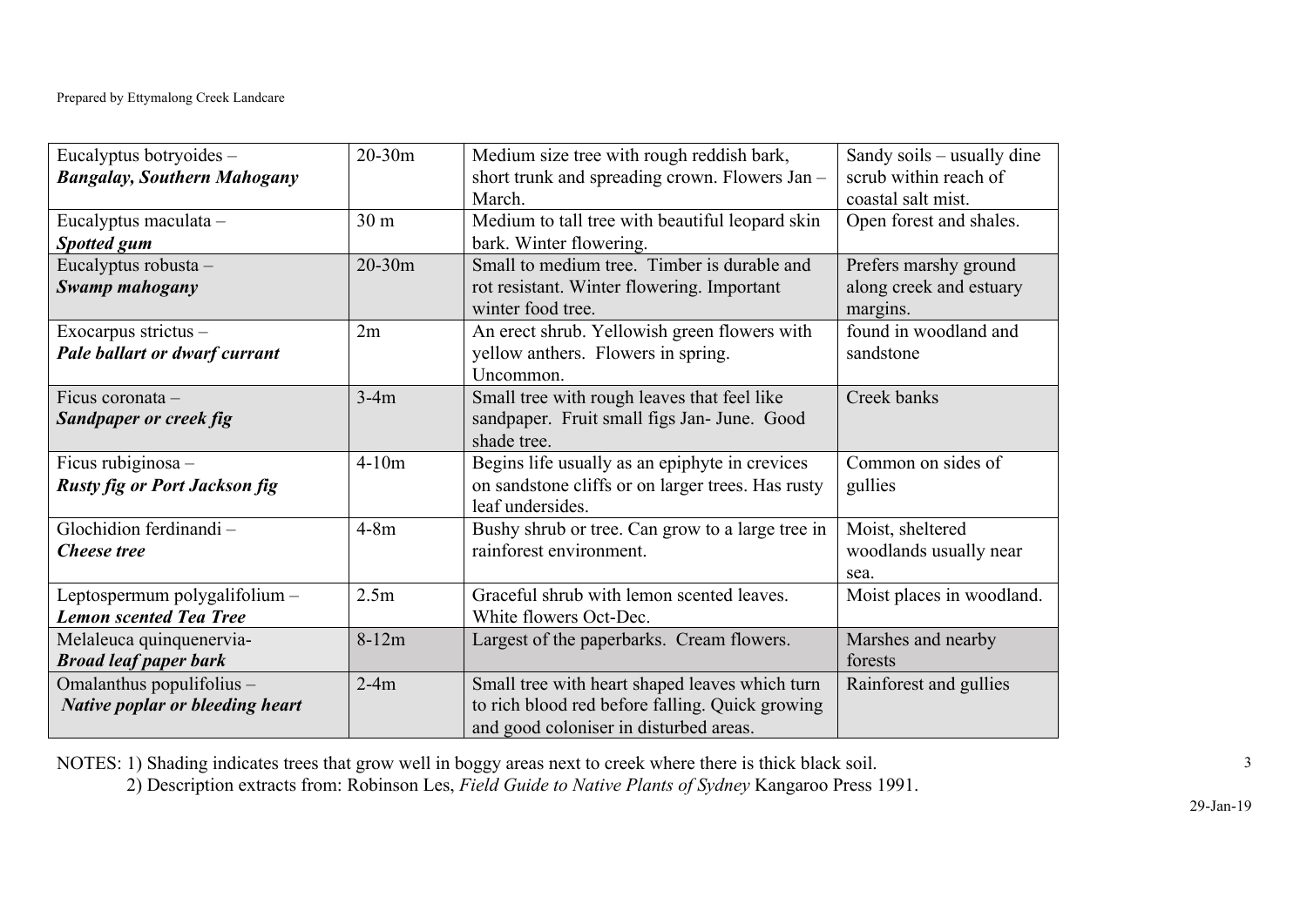| Eucalyptus botryoides -<br><b>Bangalay, Southern Mahogany</b>       | $20 - 30m$      | Medium size tree with rough reddish bark,<br>short trunk and spreading crown. Flowers Jan -<br>March.                                       | Sandy soils – usually dine<br>scrub within reach of<br>coastal salt mist. |
|---------------------------------------------------------------------|-----------------|---------------------------------------------------------------------------------------------------------------------------------------------|---------------------------------------------------------------------------|
| Eucalyptus maculata -<br><b>Spotted gum</b>                         | 30 <sub>m</sub> | Medium to tall tree with beautiful leopard skin<br>bark. Winter flowering.                                                                  | Open forest and shales.                                                   |
| Eucalyptus robusta -<br>Swamp mahogany                              | $20 - 30m$      | Small to medium tree. Timber is durable and<br>rot resistant. Winter flowering. Important<br>winter food tree.                              | Prefers marshy ground<br>along creek and estuary<br>margins.              |
| Exocarpus strictus -<br>Pale ballart or dwarf currant               | 2m              | An erect shrub. Yellowish green flowers with<br>yellow anthers. Flowers in spring.<br>Uncommon.                                             | found in woodland and<br>sandstone                                        |
| Ficus coronata -<br><b>Sandpaper or creek fig</b>                   | $3-4m$          | Small tree with rough leaves that feel like<br>sandpaper. Fruit small figs Jan- June. Good<br>shade tree.                                   | Creek banks                                                               |
| Ficus rubiginosa -<br><b>Rusty fig or Port Jackson fig</b>          | $4-10m$         | Begins life usually as an epiphyte in crevices<br>on sandstone cliffs or on larger trees. Has rusty<br>leaf undersides.                     | Common on sides of<br>gullies                                             |
| Glochidion ferdinandi-<br><b>Cheese</b> tree                        | $4-8m$          | Bushy shrub or tree. Can grow to a large tree in<br>rainforest environment.                                                                 | Moist, sheltered<br>woodlands usually near<br>sea.                        |
| Leptospermum polygalifolium -<br><b>Lemon scented Tea Tree</b>      | 2.5m            | Graceful shrub with lemon scented leaves.<br>White flowers Oct-Dec.                                                                         | Moist places in woodland.                                                 |
| Melaleuca quinquenervia-<br><b>Broad leaf paper bark</b>            | $8-12m$         | Largest of the paperbarks. Cream flowers.                                                                                                   | Marshes and nearby<br>forests                                             |
| Omalanthus populifolius -<br><b>Native poplar or bleeding heart</b> | $2-4m$          | Small tree with heart shaped leaves which turn<br>to rich blood red before falling. Quick growing<br>and good coloniser in disturbed areas. | Rainforest and gullies                                                    |

NOTES: 1) Shading indicates trees that grow well in boggy areas next to creek where there is thick black soil.

2) Description extracts from: Robinson Les, *Field Guide to Native Plants of Sydney* Kangaroo Press 1991.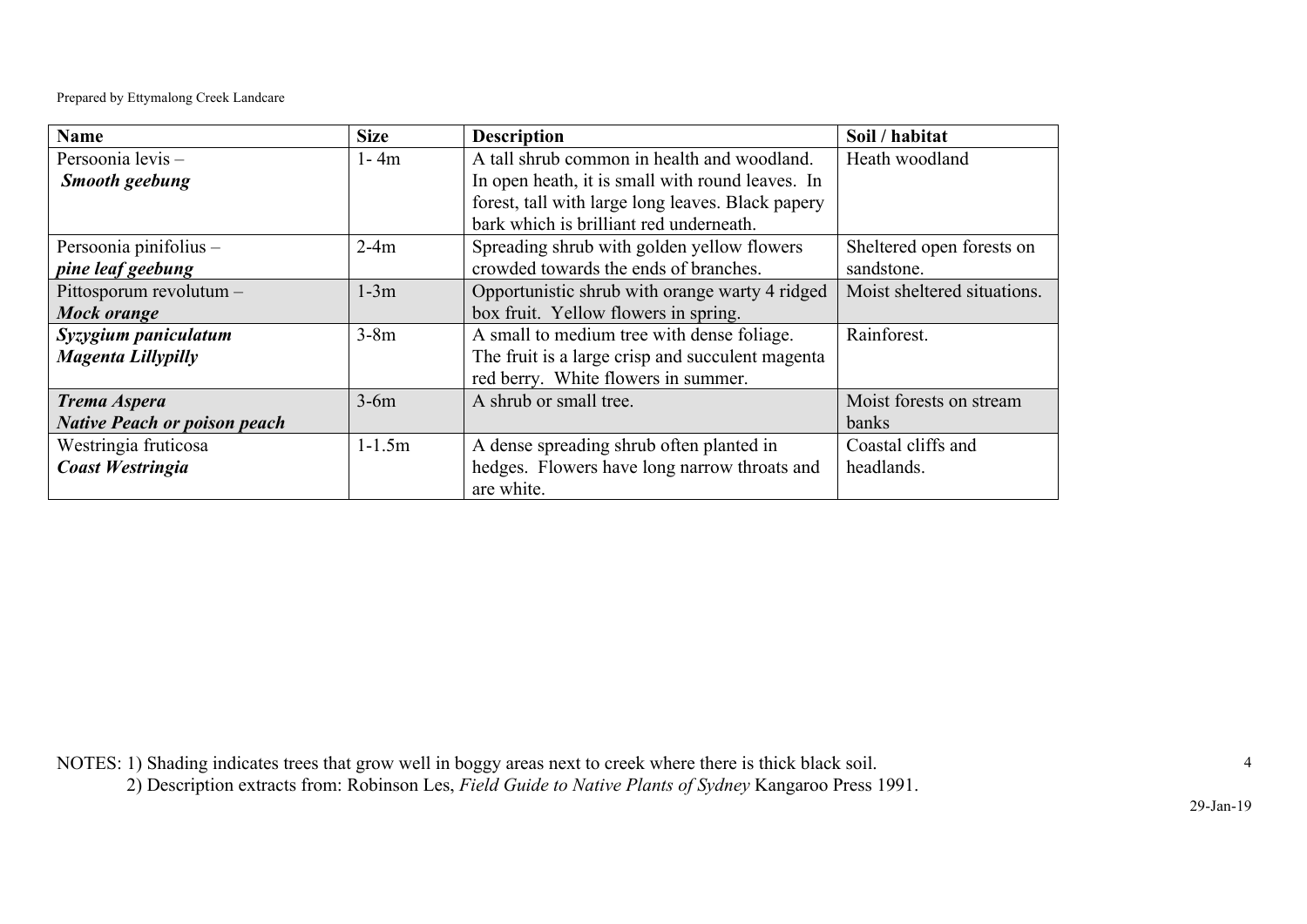Prepared by Ettymalong Creek Landcare

| <b>Name</b>                         | <b>Size</b> | <b>Description</b>                                | Soil / habitat              |
|-------------------------------------|-------------|---------------------------------------------------|-----------------------------|
| Persoonia levis-                    | $1 - 4m$    | A tall shrub common in health and woodland.       | Heath woodland              |
| <b>Smooth geebung</b>               |             | In open heath, it is small with round leaves. In  |                             |
|                                     |             | forest, tall with large long leaves. Black papery |                             |
|                                     |             | bark which is brilliant red underneath.           |                             |
| Persoonia pinifolius -              | $2-4m$      | Spreading shrub with golden yellow flowers        | Sheltered open forests on   |
| pine leaf geebung                   |             | crowded towards the ends of branches.             | sandstone.                  |
| Pittosporum revolutum -             | $1-3m$      | Opportunistic shrub with orange warty 4 ridged    | Moist sheltered situations. |
| Mock orange                         |             | box fruit. Yellow flowers in spring.              |                             |
| Syzygium paniculatum                | $3-8m$      | A small to medium tree with dense foliage.        | Rainforest.                 |
| Magenta Lillypilly                  |             | The fruit is a large crisp and succulent magenta  |                             |
|                                     |             | red berry. White flowers in summer.               |                             |
| Trema Aspera                        | $3-6m$      | A shrub or small tree.                            | Moist forests on stream     |
| <b>Native Peach or poison peach</b> |             |                                                   | banks                       |
| Westringia fruticosa                | $1 - 1.5m$  | A dense spreading shrub often planted in          | Coastal cliffs and          |
| <b>Coast Westringia</b>             |             | hedges. Flowers have long narrow throats and      | headlands.                  |
|                                     |             | are white.                                        |                             |

NOTES: 1) Shading indicates trees that grow well in boggy areas next to creek where there is thick black soil.

2) Description extracts from: Robinson Les, *Field Guide to Native Plants of Sydney* Kangaroo Press 1991.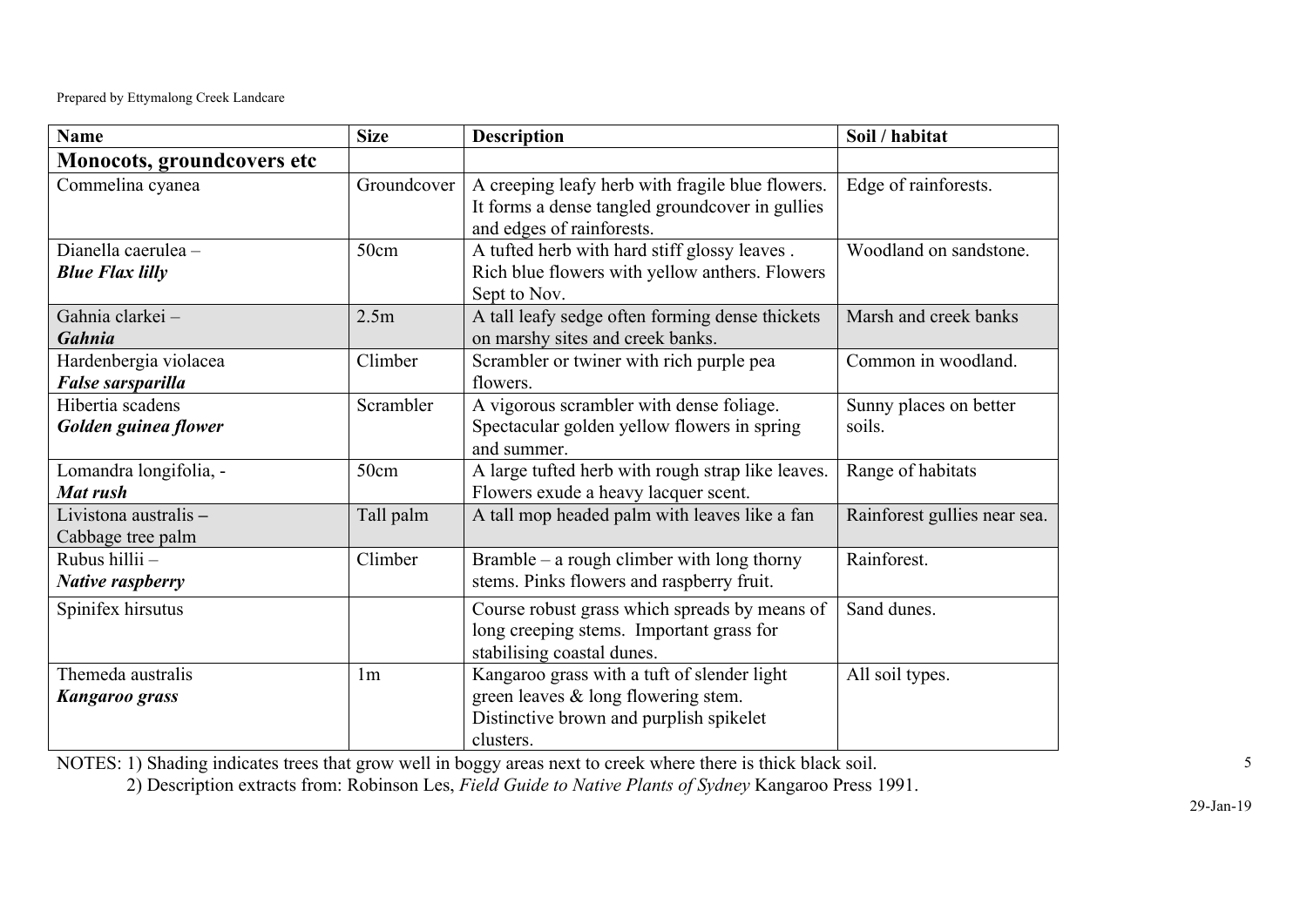Prepared by Ettymalong Creek Landcare

| <b>Name</b>                                   | <b>Size</b>    | <b>Description</b>                                                                                                                            | Soil / habitat                   |
|-----------------------------------------------|----------------|-----------------------------------------------------------------------------------------------------------------------------------------------|----------------------------------|
| Monocots, groundcovers etc                    |                |                                                                                                                                               |                                  |
| Commelina cyanea                              | Groundcover    | A creeping leafy herb with fragile blue flowers.<br>It forms a dense tangled groundcover in gullies<br>and edges of rainforests.              | Edge of rainforests.             |
| Dianella caerulea -<br><b>Blue Flax lilly</b> | 50cm           | A tufted herb with hard stiff glossy leaves.<br>Rich blue flowers with yellow anthers. Flowers<br>Sept to Nov.                                | Woodland on sandstone.           |
| Gahnia clarkei-<br><b>Gahnia</b>              | 2.5m           | A tall leafy sedge often forming dense thickets<br>on marshy sites and creek banks.                                                           | Marsh and creek banks            |
| Hardenbergia violacea<br>False sarsparilla    | Climber        | Scrambler or twiner with rich purple pea<br>flowers.                                                                                          | Common in woodland.              |
| Hibertia scadens<br>Golden guinea flower      | Scrambler      | A vigorous scrambler with dense foliage.<br>Spectacular golden yellow flowers in spring<br>and summer.                                        | Sunny places on better<br>soils. |
| Lomandra longifolia, -<br>Mat rush            | 50cm           | A large tufted herb with rough strap like leaves.<br>Flowers exude a heavy lacquer scent.                                                     | Range of habitats                |
| Livistona australis -<br>Cabbage tree palm    | Tall palm      | A tall mop headed palm with leaves like a fan                                                                                                 | Rainforest gullies near sea.     |
| Rubus hillii -<br><b>Native raspberry</b>     | Climber        | Bramble – a rough climber with long thorny<br>stems. Pinks flowers and raspberry fruit.                                                       | Rainforest.                      |
| Spinifex hirsutus                             |                | Course robust grass which spreads by means of<br>long creeping stems. Important grass for<br>stabilising coastal dunes.                       | Sand dunes.                      |
| Themeda australis<br><b>Kangaroo grass</b>    | 1 <sub>m</sub> | Kangaroo grass with a tuft of slender light<br>green leaves $\&$ long flowering stem.<br>Distinctive brown and purplish spikelet<br>clusters. | All soil types.                  |

NOTES: 1) Shading indicates trees that grow well in boggy areas next to creek where there is thick black soil.

2) Description extracts from: Robinson Les, *Field Guide to Native Plants of Sydney* Kangaroo Press 1991.